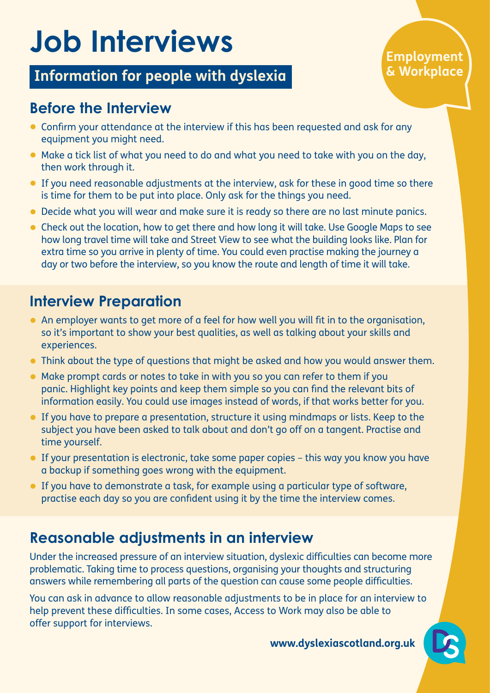# **Job Interviews**

### **Information for people with dyslexia**

#### **Employment & Workplace**

#### **Before the Interview**

- Confirm your attendance at the interview if this has been requested and ask for any equipment you might need.
- Make a tick list of what you need to do and what you need to take with you on the day, then work through it.
- If you need reasonable adjustments at the interview, ask for these in good time so there is time for them to be put into place. Only ask for the things you need.
- Decide what you will wear and make sure it is ready so there are no last minute panics.
- Check out the location, how to get there and how long it will take. Use Google Maps to see how long travel time will take and Street View to see what the building looks like. Plan for extra time so you arrive in plenty of time. You could even practise making the journey a day or two before the interview, so you know the route and length of time it will take.

### **Interview Preparation**

- An employer wants to get more of a feel for how well you will fit in to the organisation, so it's important to show your best qualities, as well as talking about your skills and experiences.
- Think about the type of questions that might be asked and how you would answer them.
- Make prompt cards or notes to take in with you so you can refer to them if you panic. Highlight key points and keep them simple so you can find the relevant bits of information easily. You could use images instead of words, if that works better for you.
- If you have to prepare a presentation, structure it using mindmaps or lists. Keep to the subject you have been asked to talk about and don't go off on a tangent. Practise and time yourself.
- If your presentation is electronic, take some paper copies this way you know you have a backup if something goes wrong with the equipment.
- If you have to demonstrate a task, for example using a particular type of software, practise each day so you are confident using it by the time the interview comes.

#### **Reasonable adjustments in an interview**

Under the increased pressure of an interview situation, dyslexic difficulties can become more problematic. Taking time to process questions, organising your thoughts and structuring answers while remembering all parts of the question can cause some people difficulties.

You can ask in advance to allow reasonable adjustments to be in place for an interview to help prevent these difficulties. In some cases, Access to Work may also be able to offer support for interviews.

**www.dyslexiascotland.org.uk**